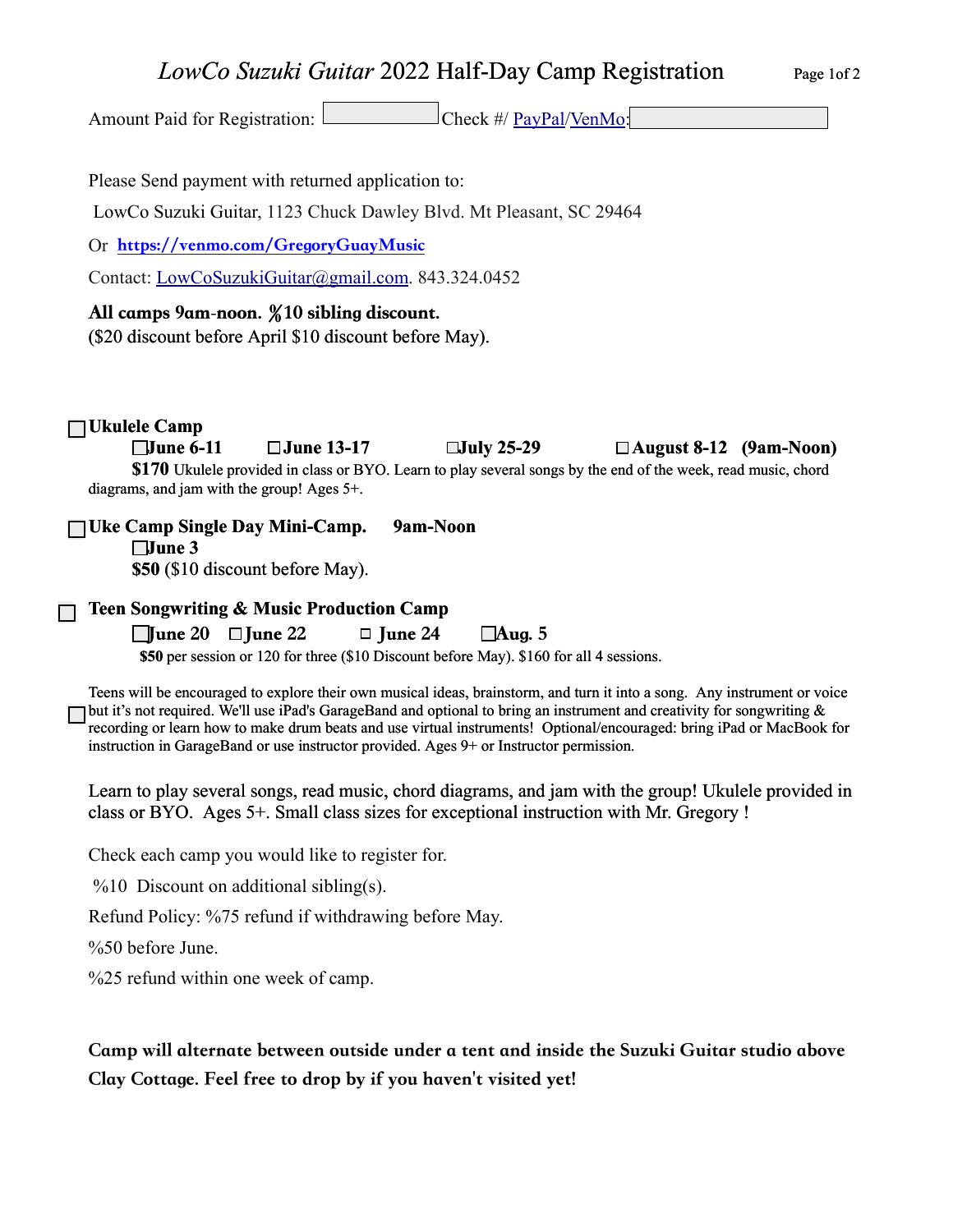## *LowCo Suzuki Guitar* 2022 Half-Day Camp Registration Page 1of 2

Amount Paid for Registration: Check #/ [PayPal/](http://PayPal.Me/GregoryGuitar)[VenMo:](https://venmo.com/GregoryGuayMusic)

Please Send payment with returned application to:

LowCo Suzuki Guitar, 1123 Chuck Dawley Blvd. Mt Pleasant, SC 29464

Or https://venmo.com/GregoryGuayMusic

Contact: [LowCoSuzukiGuitar@gmail.com.](mailto:LowCoSuzukiGuitar@gmail.com) 843.324.0452

## All camps 9am-noon. *%*10 sibling discount.

(\$20 discount before April \$10 discount before May).

## **Ukulele Camp**

**June 6-11 June 13-17 July 25-29 August 8-12 (9am-Noon) \$170** Ukulele provided in class or BYO. Learn to play several songs by the end of the week, read music, chord diagrams, and jam with the group! Ages 5+.

**Uke Camp Single Day Mini-Camp. 9am-Noon June 3** 

**\$50** (\$10 discount before May).

**Teen Songwriting & Music Production Camp**

 $\Box$  une 20  $\Box$  June 22  $\Box$  June 24  $\Box$  Aug. 5

 **\$50** per session or 120 for three (\$10 Discount before May). \$160 for all 4 sessions.

Teens will be encouraged to explore their own musical ideas, brainstorm, and turn it into a song. Any instrument or voice but it's not required. We'll use iPad's GarageBand and optional to bring an instrument and creativity for songwriting & recording or learn how to make drum beats and use virtual instruments! Optional/encouraged: bring iPad or MacBook for instruction in GarageBand or use instructor provided. Ages 9+ or Instructor permission.

Learn to play several songs, read music, chord diagrams, and jam with the group! Ukulele provided in class or BYO. Ages 5+. Small class sizes for exceptional instruction with Mr. Gregory !

Check each camp you would like to register for.

 $\%10$  Discount on additional sibling(s).

Refund Policy: %75 refund if withdrawing before May.

%50 before June.

%25 refund within one week of camp.

Camp will alternate between outside under a tent and inside the Suzuki Guitar studio above Clay Cottage. Feel free to drop by if you haven't visited yet!